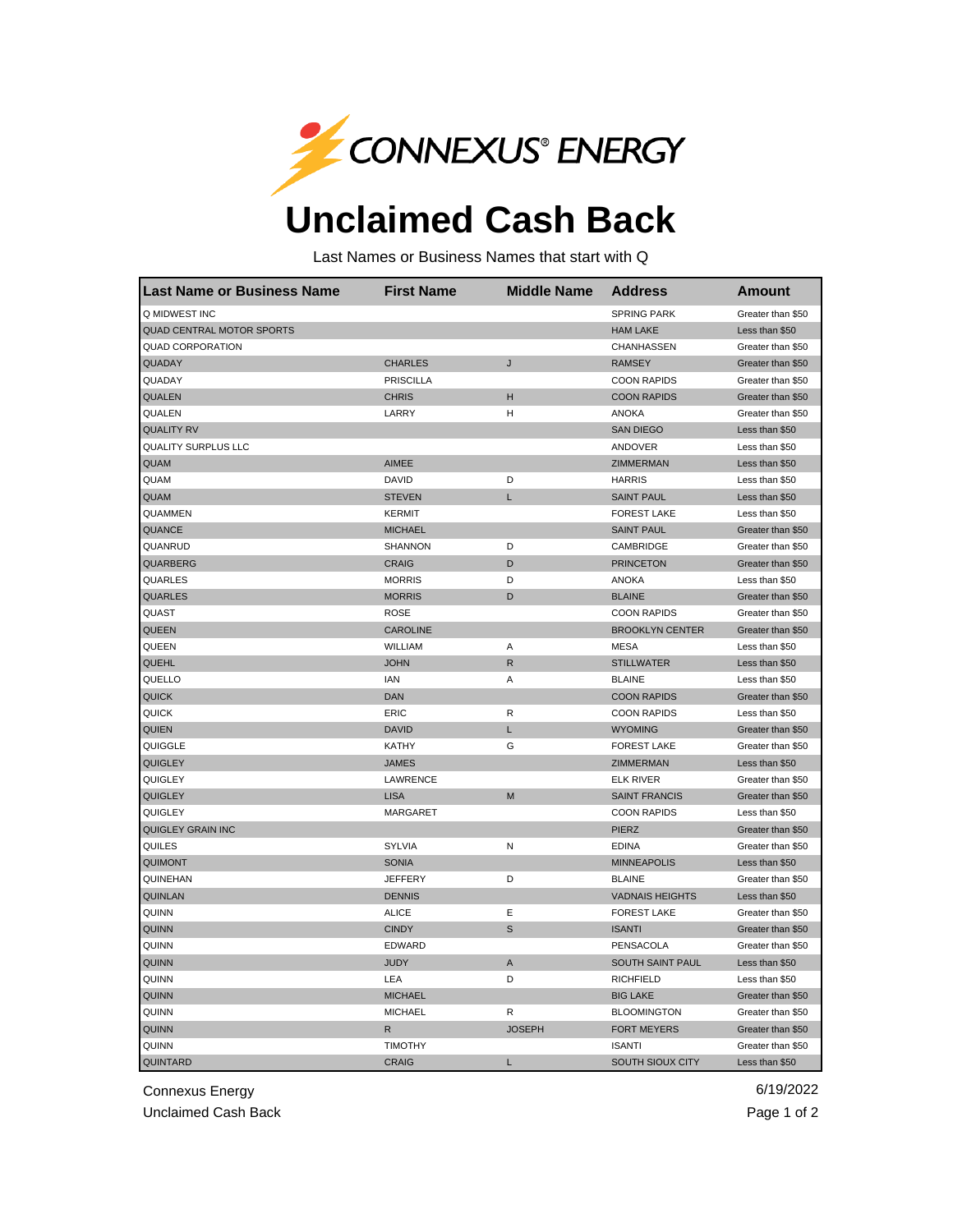

## **Unclaimed Cash Back**

Last Names or Business Names that start with Q

| <b>Last Name or Business Name</b> | <b>First Name</b> | <b>Middle Name</b> | <b>Address</b>         | <b>Amount</b>     |
|-----------------------------------|-------------------|--------------------|------------------------|-------------------|
| Q MIDWEST INC                     |                   |                    | <b>SPRING PARK</b>     | Greater than \$50 |
| <b>QUAD CENTRAL MOTOR SPORTS</b>  |                   |                    | <b>HAM LAKE</b>        | Less than \$50    |
| <b>QUAD CORPORATION</b>           |                   |                    | CHANHASSEN             | Greater than \$50 |
| QUADAY                            | <b>CHARLES</b>    | J                  | <b>RAMSEY</b>          | Greater than \$50 |
| QUADAY                            | <b>PRISCILLA</b>  |                    | <b>COON RAPIDS</b>     | Greater than \$50 |
| QUALEN                            | <b>CHRIS</b>      | н                  | <b>COON RAPIDS</b>     | Greater than \$50 |
| QUALEN                            | LARRY             | Η                  | <b>ANOKA</b>           | Greater than \$50 |
| <b>QUALITY RV</b>                 |                   |                    | <b>SAN DIEGO</b>       | Less than \$50    |
| <b>QUALITY SURPLUS LLC</b>        |                   |                    | ANDOVER                | Less than \$50    |
| <b>QUAM</b>                       | <b>AIMEE</b>      |                    | ZIMMERMAN              | Less than \$50    |
| QUAM                              | <b>DAVID</b>      | D                  | <b>HARRIS</b>          | Less than \$50    |
| QUAM                              | <b>STEVEN</b>     | Г                  | <b>SAINT PAUL</b>      | Less than \$50    |
| QUAMMEN                           | <b>KERMIT</b>     |                    | <b>FOREST LAKE</b>     | Less than \$50    |
| <b>QUANCE</b>                     | <b>MICHAEL</b>    |                    | <b>SAINT PAUL</b>      | Greater than \$50 |
| QUANRUD                           | <b>SHANNON</b>    | D                  | CAMBRIDGE              | Greater than \$50 |
| QUARBERG                          | <b>CRAIG</b>      | D                  | <b>PRINCETON</b>       | Greater than \$50 |
| QUARLES                           | <b>MORRIS</b>     | D                  | <b>ANOKA</b>           | Less than \$50    |
| <b>QUARLES</b>                    | <b>MORRIS</b>     | D                  | <b>BLAINE</b>          | Greater than \$50 |
| QUAST                             | <b>ROSE</b>       |                    | <b>COON RAPIDS</b>     | Greater than \$50 |
| <b>QUEEN</b>                      | <b>CAROLINE</b>   |                    | <b>BROOKLYN CENTER</b> | Greater than \$50 |
| QUEEN                             | WILLIAM           | Α                  | <b>MESA</b>            | Less than \$50    |
| QUEHL                             | <b>JOHN</b>       | ${\sf R}$          | <b>STILLWATER</b>      | Less than \$50    |
| QUELLO                            | IAN               | Α                  | <b>BLAINE</b>          | Less than \$50    |
| <b>QUICK</b>                      | <b>DAN</b>        |                    | <b>COON RAPIDS</b>     | Greater than \$50 |
| QUICK                             | ERIC              | R                  | <b>COON RAPIDS</b>     | Less than \$50    |
| QUIEN                             | <b>DAVID</b>      | L                  | <b>WYOMING</b>         | Greater than \$50 |
| QUIGGLE                           | KATHY             | G                  | <b>FOREST LAKE</b>     | Greater than \$50 |
| <b>QUIGLEY</b>                    | <b>JAMES</b>      |                    | <b>ZIMMERMAN</b>       | Less than \$50    |
| QUIGLEY                           | LAWRENCE          |                    | <b>ELK RIVER</b>       | Greater than \$50 |
| <b>QUIGLEY</b>                    | <b>LISA</b>       | M                  | <b>SAINT FRANCIS</b>   | Greater than \$50 |
| QUIGLEY                           | <b>MARGARET</b>   |                    | <b>COON RAPIDS</b>     | Less than \$50    |
| <b>QUIGLEY GRAIN INC</b>          |                   |                    | <b>PIERZ</b>           | Greater than \$50 |
| QUILES                            | <b>SYLVIA</b>     | N                  | <b>EDINA</b>           | Greater than \$50 |
| <b>QUIMONT</b>                    | <b>SONIA</b>      |                    | <b>MINNEAPOLIS</b>     | Less than \$50    |
| QUINEHAN                          | <b>JEFFERY</b>    | D                  | <b>BLAINE</b>          | Greater than \$50 |
| <b>QUINLAN</b>                    | <b>DENNIS</b>     |                    | <b>VADNAIS HEIGHTS</b> | Less than \$50    |
| QUINN                             | <b>ALICE</b>      | Е                  | <b>FOREST LAKE</b>     | Greater than \$50 |
| <b>QUINN</b>                      | <b>CINDY</b>      | S                  | <b>ISANTI</b>          | Greater than \$50 |
| QUINN                             | EDWARD            |                    | PENSACOLA              | Greater than \$50 |
| <b>QUINN</b>                      | <b>JUDY</b>       | A                  | SOUTH SAINT PAUL       | Less than \$50    |
| QUINN                             | LEA               | D                  | <b>RICHFIELD</b>       | Less than \$50    |
| <b>QUINN</b>                      | <b>MICHAEL</b>    |                    | <b>BIG LAKE</b>        | Greater than \$50 |
| QUINN                             | <b>MICHAEL</b>    | R                  | <b>BLOOMINGTON</b>     | Greater than \$50 |
| <b>QUINN</b>                      | R                 | <b>JOSEPH</b>      | <b>FORT MEYERS</b>     | Greater than \$50 |
| QUINN                             | <b>TIMOTHY</b>    |                    | <b>ISANTI</b>          | Greater than \$50 |
| QUINTARD                          | <b>CRAIG</b>      | L                  | SOUTH SIOUX CITY       | Less than \$50    |

Connexus Energy 6/19/2022

Unclaimed Cash Back **Page 1 of 2**